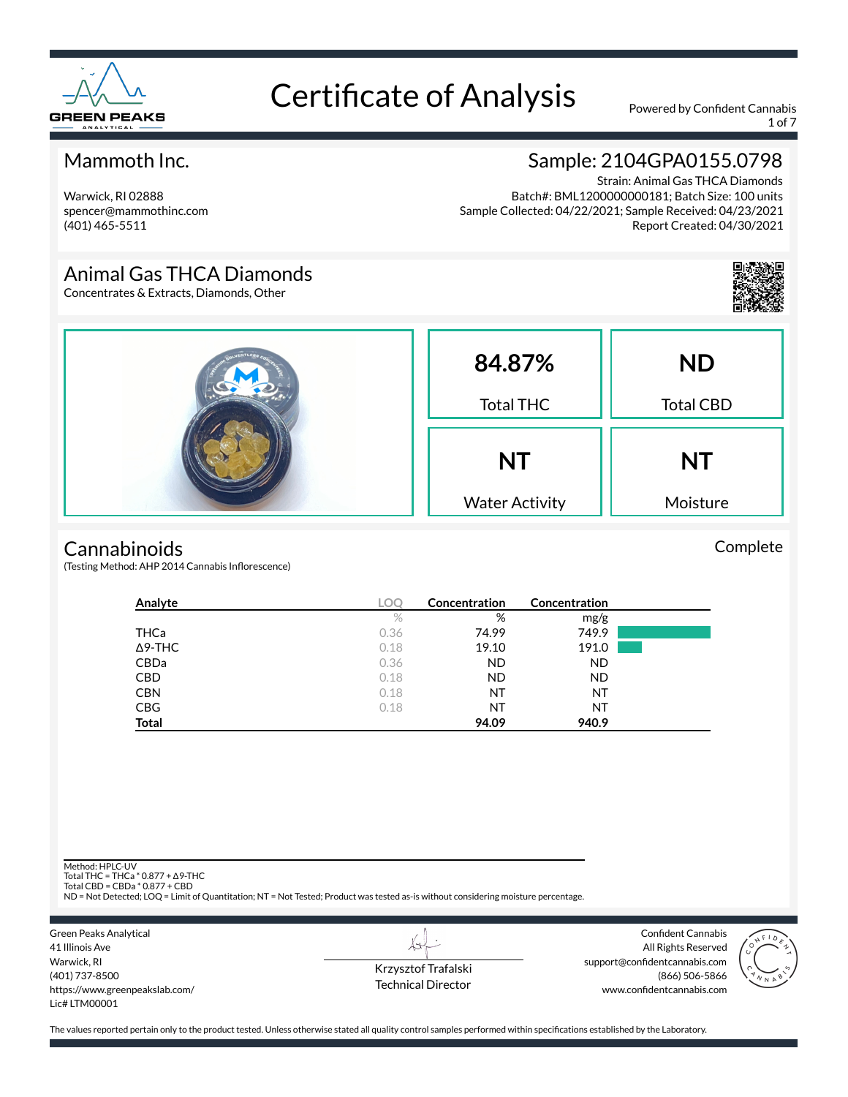

1 of 7

### Mammoth Inc.

Warwick, RI 02888 spencer@mammothinc.com (401) 465-5511

### Sample: 2104GPA0155.0798

Strain: Animal Gas THCA Diamonds Batch#: BML1200000000181; Batch Size: 100 units Sample Collected: 04/22/2021; Sample Received: 04/23/2021 Report Created: 04/30/2021

### Animal Gas THCA Diamonds

Concentrates & Extracts, Diamonds, Other



#### **Cannabinoids**

(Testing Method: AHP 2014 Cannabis Inflorescence)

| Analyte        | <b>LOC</b> | Concentration | <b>Concentration</b> |  |
|----------------|------------|---------------|----------------------|--|
|                | $\%$       | %             | mg/g                 |  |
| THCa           | 0.36       | 74.99         | 749.9                |  |
| $\Delta$ 9-THC | 0.18       | 19.10         | 191.0                |  |
| CBDa           | 0.36       | <b>ND</b>     | <b>ND</b>            |  |
| <b>CBD</b>     | 0.18       | ND.           | <b>ND</b>            |  |
| <b>CBN</b>     | 0.18       | NT            | NT                   |  |
| <b>CBG</b>     | 0.18       | NT            | NT                   |  |
| <b>Total</b>   |            | 94.09         | 940.9                |  |

Method: HPLC-UV

Total THC = THCa \* 0.877 + ∆9-THC Total CBD = CBDa \* 0.877 + CBD

ND = Not Detected; LOQ = Limit of Quantitation; NT = Not Tested; Product was tested as-is without considering moisture percentage.



Krzysztof Trafalski Technical Director

LI

Confident Cannabis All Rights Reserved support@confidentcannabis.com (866) 506-5866 www.confidentcannabis.com



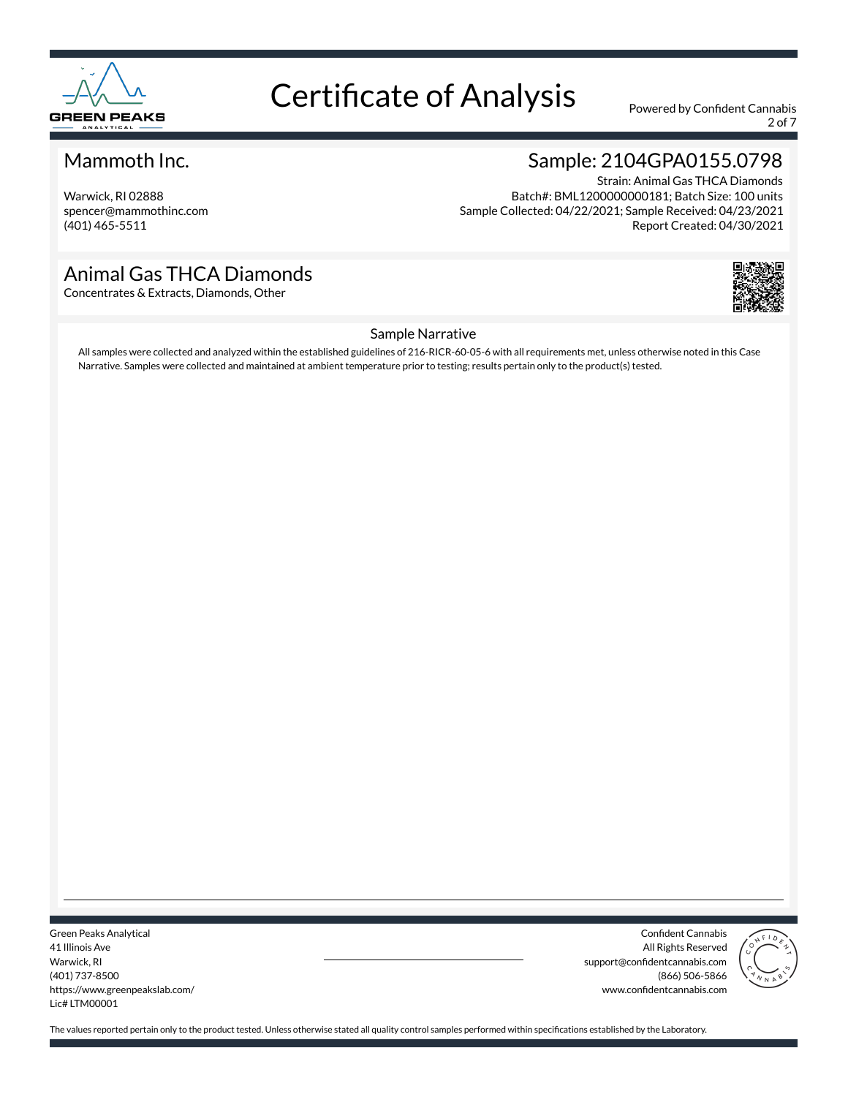

2 of 7

### Mammoth Inc.

Warwick, RI 02888 spencer@mammothinc.com (401) 465-5511

## Sample: 2104GPA0155.0798

Strain: Animal Gas THCA Diamonds Batch#: BML1200000000181; Batch Size: 100 units Sample Collected: 04/22/2021; Sample Received: 04/23/2021 Report Created: 04/30/2021

### Animal Gas THCA Diamonds

Concentrates & Extracts, Diamonds, Other



#### Sample Narrative

All samples were collected and analyzed within the established guidelines of 216-RICR-60-05-6 with all requirements met, unless otherwise noted in this Case Narrative. Samples were collected and maintained at ambient temperature prior to testing; results pertain only to the product(s) tested.

Green Peaks Analytical 41 Illinois Ave Warwick, RI (401) 737-8500 https://www.greenpeakslab.com/ Lic# LTM00001

Confident Cannabis All Rights Reserved support@confidentcannabis.com (866) 506-5866 www.confidentcannabis.com

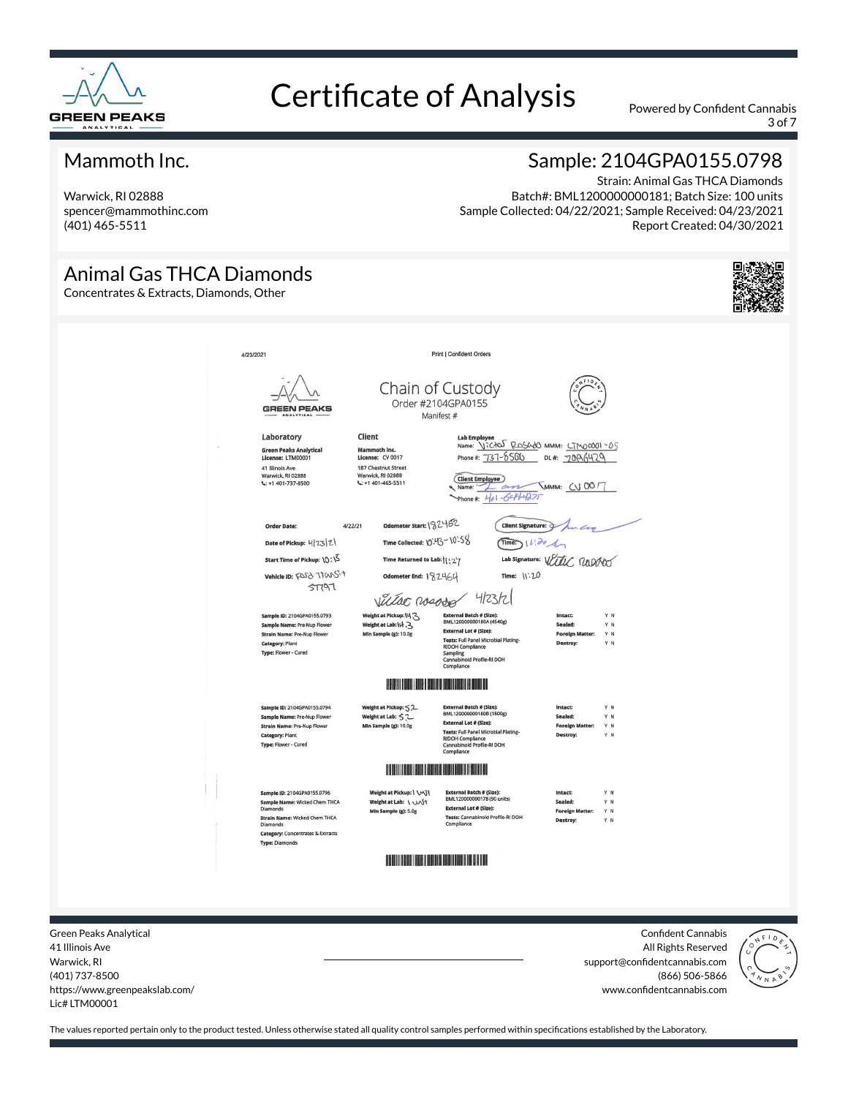

3 of 7

### Mammoth Inc.

Warwick, RI 02888 spencer@mammothinc.com (401) 465-5511

Animal Gas THCA Diamonds

### Sample: 2104GPA0155.0798

Strain: Animal Gas THCA Diamonds Batch#: BML1200000000181; Batch Size: 100 units Sample Collected: 04/22/2021; Sample Received: 04/23/2021 Report Created: 04/30/2021

#### Concentrates & Extracts, Diamonds, Other 4/23/2021 Print I Confident Orders Chain of Custody Order #2104GPA0155 **GREEN PEAKS** Manifest # Lab Employee<br>Name: <u>VICAN ROSCOO</u> MMM: <u>LIMOOOOI~05</u><br>Phone #: 727-8501 Client Laboratory Green Peaks Analy<br>License: LTM00001 Mammoth Inc.<br>License: CV 0017 Phone #: 737-8500 DL#: 7006429 41 Illinois Ave<br>Warwick, RI 02888<br>L: +1 401-737-8500 187 Chestnut Street Warwick, RI 02888 Client Employee **VMMM: CV 0017** Phone #:  $461 - 6444275$ Odometer Start: \32462 Order Date  $AD2121$ Client Signature: Time Collected: \O`-43-\O`-58  $Time 11304$ Date of Pickup: 4/23/2) Lab Signature: With RODOO Start Time of Pickup:  $10:15$ Time Returned to Lab: | 127 Vehicle ID: FOSD TOWSS+ Odometer End: 182464 Time:  $11:20$  $ST197$ 4/23/2 Villac rosodo Weight at Pickup:  $M_3$ External Batch # (\$lze):<br>BML120000000180A (4540g) Sample ID: 2104GPA0155.0793 Sample Name: Pre-Nup Flower Weight at Lab: $\mathcal{W}$ .  $\mathcal{S}$ External Lot # (Size): **Strain Name: Pre-Nup Flower** Min Sample (g): 10.0g Tests: Full Panel Microbial Plating<br>RIDOH Compliance Category: Plant RIDOH Compliance<br>Sampling<br>Cannabinoid Profile-RI DOH<br>Compliance Type: Flower - Cured **HERE IN THE REAL PROPERTY** Sample ID: 2104GPA0155.0794 Weight at Pickup:  $\leq 2$ External Batch # (S<mark>ize):</mark><br>BML120000000180B (1800g) Sample Name: Pre-Nup Flowe reight at Lab: うこ **External Lot # (Size):** External Lot # (Size):<br>Tests: Full Panel Microbial Plating-<br>RIDOH Compliance<br>Cannabinoid Profile-RI DOH Strain Name: Pre-Nup Flower Min Sample (g): 10.0g Y N oreign Category: Plant Type: Flower - Cured Sample ID: 2104GPA0155.0796 Weight at Pickup: | VAT rnal Batch # (Size): BML120000000178 (90 units) Sample Name: Wicked Chem THCA<br>Diamonds Weight at Lab: \ W\ST **External Lot # (Size):** Min Sample (g): 5.0g Strain Name: Wicked Chem THCA<br>Diamonds Tests: Cannabinoid Profile-RI DOH<br>Compliance Category: Concentrates & Extracts **Type: Diamonds THE REAL PROPERTY OF A**

Green Peaks Analytical 41 Illinois Ave Warwick, RI (401) 737-8500 https://www.greenpeakslab.com/ Lic# LTM00001

Confident Cannabis All Rights Reserved support@confidentcannabis.com (866) 506-5866 www.confidentcannabis.com

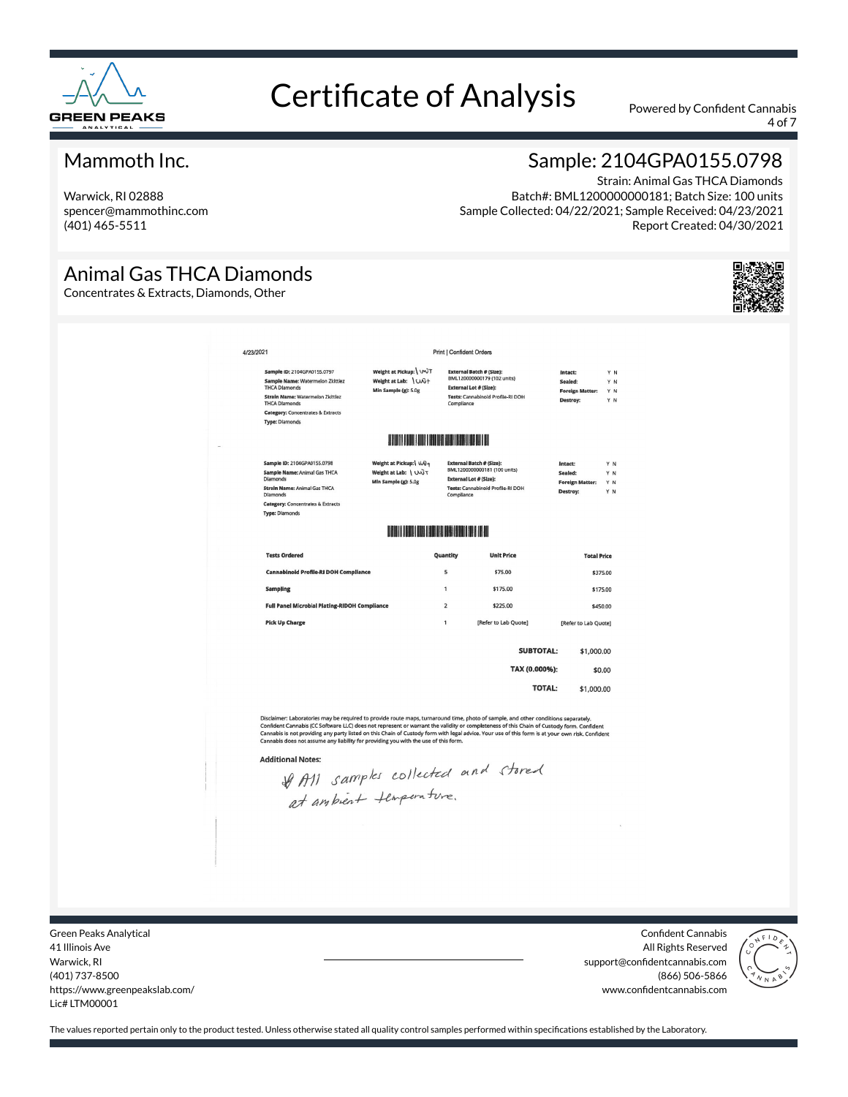

4 of 7

### Mammoth Inc.

Warwick, RI 02888 spencer@mammothinc.com (401) 465-5511

### Sample: 2104GPA0155.0798

Strain: Animal Gas THCA Diamonds Batch#: BML1200000000181; Batch Size: 100 units Sample Collected: 04/22/2021; Sample Received: 04/23/2021 Report Created: 04/30/2021

### Animal Gas THCA Diamonds

Concentrates & Extracts, Diamonds, Other



| Weight at Pickup: WVT<br>Weight at Lab: \ Wi+ |                                                                                                                               | <b>External Batch # (Size):</b>                              | Intact:                                                                                                                                                                                                                                                                                                           |                                                                                                                                                                            |
|-----------------------------------------------|-------------------------------------------------------------------------------------------------------------------------------|--------------------------------------------------------------|-------------------------------------------------------------------------------------------------------------------------------------------------------------------------------------------------------------------------------------------------------------------------------------------------------------------|----------------------------------------------------------------------------------------------------------------------------------------------------------------------------|
| Min Sample (g): 5.0g                          |                                                                                                                               | BML120000000179 (102 units)<br><b>External Lot # (Size):</b> | Sealed:<br><b>Foreign Matter:</b><br>Destroy:                                                                                                                                                                                                                                                                     | Y N<br>Y N<br>Y N<br>Y N                                                                                                                                                   |
|                                               |                                                                                                                               |                                                              |                                                                                                                                                                                                                                                                                                                   |                                                                                                                                                                            |
|                                               |                                                                                                                               |                                                              | Intact:<br>Sealed:<br><b>Foreign Matter:</b><br>Destroy:                                                                                                                                                                                                                                                          | Y N<br>YN<br>YN<br>Y N                                                                                                                                                     |
|                                               |                                                                                                                               |                                                              |                                                                                                                                                                                                                                                                                                                   |                                                                                                                                                                            |
|                                               |                                                                                                                               | <b>Unit Price</b>                                            |                                                                                                                                                                                                                                                                                                                   |                                                                                                                                                                            |
|                                               | 5                                                                                                                             | \$75.00                                                      |                                                                                                                                                                                                                                                                                                                   |                                                                                                                                                                            |
|                                               | $\mathbf{1}$                                                                                                                  | \$175.00                                                     |                                                                                                                                                                                                                                                                                                                   |                                                                                                                                                                            |
|                                               | $\overline{2}$                                                                                                                | \$225.00                                                     |                                                                                                                                                                                                                                                                                                                   |                                                                                                                                                                            |
|                                               | 1                                                                                                                             | [Refer to Lab Quote]                                         |                                                                                                                                                                                                                                                                                                                   |                                                                                                                                                                            |
|                                               |                                                                                                                               |                                                              |                                                                                                                                                                                                                                                                                                                   |                                                                                                                                                                            |
|                                               |                                                                                                                               |                                                              |                                                                                                                                                                                                                                                                                                                   |                                                                                                                                                                            |
|                                               |                                                                                                                               |                                                              |                                                                                                                                                                                                                                                                                                                   |                                                                                                                                                                            |
|                                               | Weight at Pickup: UN-<br>Weight at Lab: \ WJT<br>Min Sample (g): 5.0g<br><b>Full Panel Microbial Plating-RIDOH Compliance</b> | Quantity                                                     | Tests: Cannabinoid Profile-RI DOH<br>Compliance<br><b>IF AND IN THE REAL PROPERTY OF A PROPERTY</b><br><b>External Batch # (Size):</b><br>BML1200000000181 (100 units)<br><b>External Lot # (Size):</b><br>Tests: Cannabinoid Profile-RI DOH<br>Compliance<br><b>DE EN LIGNAL EN SIGNE DE LA SEGUEIX DE LA SU</b> | <b>Total Price</b><br>\$375.00<br>\$175.00<br>\$450.00<br>[Refer to Lab Quote]<br><b>SUBTOTAL:</b><br>\$1,000.00<br>TAX (0.000%):<br>\$0.00<br><b>TOTAL:</b><br>\$1,000.00 |

**Additional Notes:** 

tional Notes:<br>If A11 samples collected and stored<br>at ambient flimperature.

Green Peaks Analytical 41 Illinois Ave Warwick, RI (401) 737-8500 https://www.greenpeakslab.com/ Lic# LTM00001

Confident Cannabis All Rights Reserved support@confidentcannabis.com (866) 506-5866 www.confidentcannabis.com

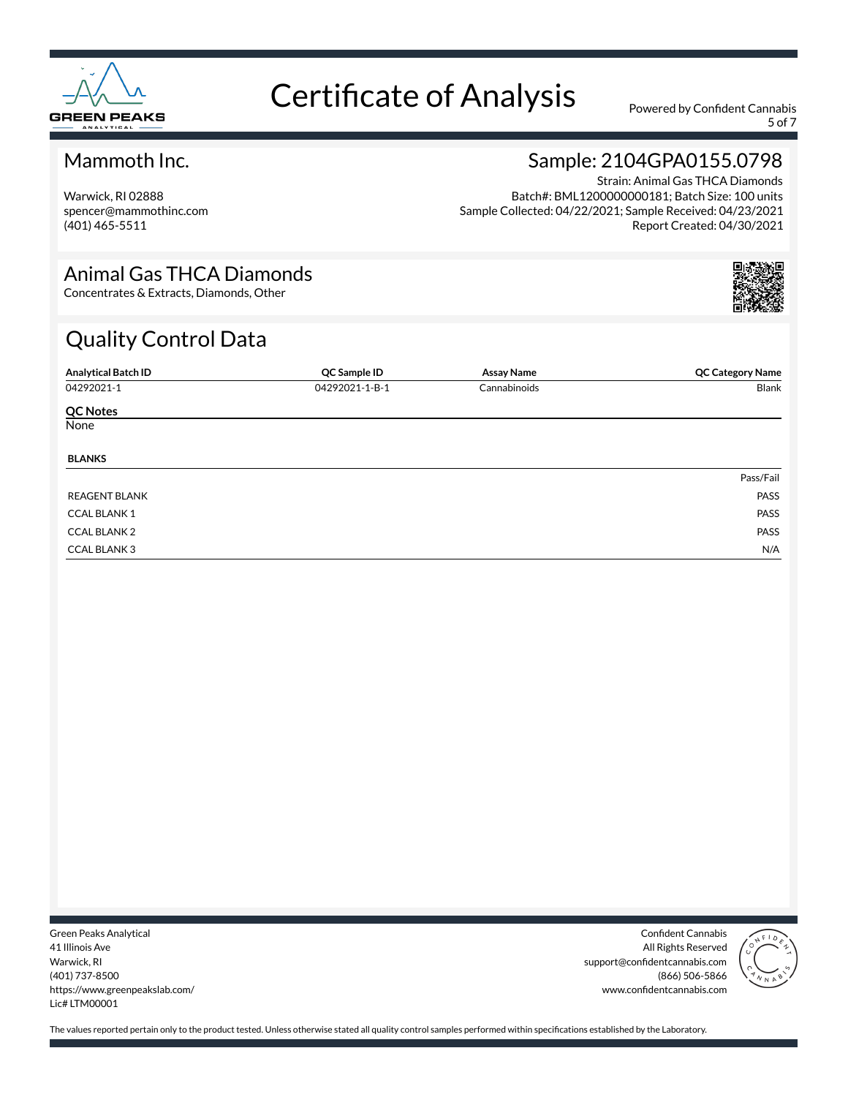

5 of 7

### Mammoth Inc.

Warwick, RI 02888 spencer@mammothinc.com (401) 465-5511

### Sample: 2104GPA0155.0798

Strain: Animal Gas THCA Diamonds Batch#: BML1200000000181; Batch Size: 100 units Sample Collected: 04/22/2021; Sample Received: 04/23/2021 Report Created: 04/30/2021

#### Animal Gas THCA Diamonds

Concentrates & Extracts, Diamonds, Other

# Quality Control Data

| <b>Analytical Batch ID</b> | QC Sample ID   | <b>Assay Name</b> | <b>QC Category Name</b> |
|----------------------------|----------------|-------------------|-------------------------|
| 04292021-1                 | 04292021-1-B-1 | Cannabinoids      | Blank                   |
| <b>QC Notes</b>            |                |                   |                         |
| None                       |                |                   |                         |
| <b>BLANKS</b>              |                |                   |                         |
|                            |                |                   | Pass/Fail               |
| <b>REAGENT BLANK</b>       |                |                   | PASS                    |
| <b>CCAL BLANK 1</b>        |                |                   | PASS                    |
| <b>CCAL BLANK 2</b>        |                |                   | PASS                    |
| <b>CCAL BLANK3</b>         |                |                   | N/A                     |

Green Peaks Analytical 41 Illinois Ave Warwick, RI (401) 737-8500 https://www.greenpeakslab.com/ Lic# LTM00001

Confident Cannabis All Rights Reserved support@confidentcannabis.com (866) 506-5866 www.confidentcannabis.com

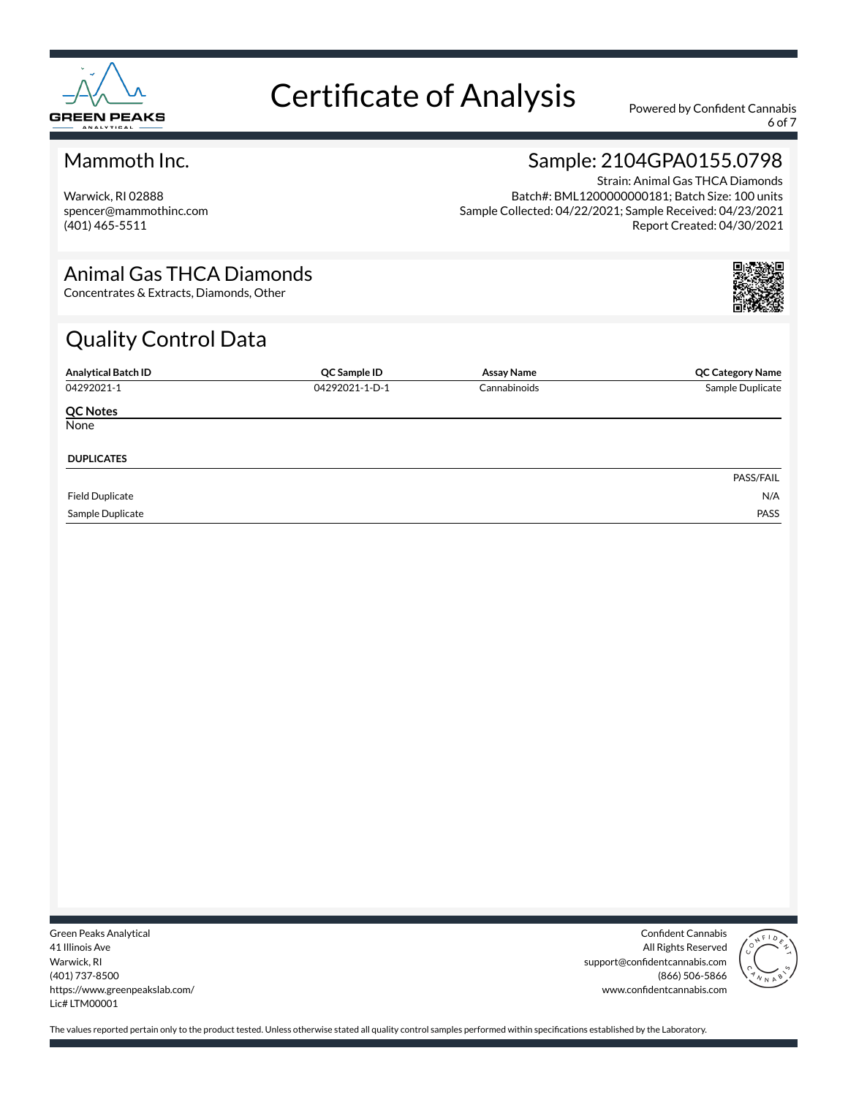

6 of 7

### Mammoth Inc.

Warwick, RI 02888 spencer@mammothinc.com (401) 465-5511

### Sample: 2104GPA0155.0798

Strain: Animal Gas THCA Diamonds Batch#: BML1200000000181; Batch Size: 100 units Sample Collected: 04/22/2021; Sample Received: 04/23/2021 Report Created: 04/30/2021

#### Animal Gas THCA Diamonds

Concentrates & Extracts, Diamonds, Other

# Quality Control Data

| <b>Analytical Batch ID</b> | QC Sample ID   | <b>Assay Name</b> | <b>QC Category Name</b> |
|----------------------------|----------------|-------------------|-------------------------|
| 04292021-1                 | 04292021-1-D-1 | Cannabinoids      | Sample Duplicate        |
| <b>QC Notes</b>            |                |                   |                         |
| None                       |                |                   |                         |
| <b>DUPLICATES</b>          |                |                   |                         |
|                            |                |                   | PASS/FAIL               |
| <b>Field Duplicate</b>     |                |                   | N/A                     |
| Sample Duplicate           |                |                   | PASS                    |

Green Peaks Analytical 41 Illinois Ave Warwick, RI (401) 737-8500 https://www.greenpeakslab.com/ Lic# LTM00001

Confident Cannabis All Rights Reserved support@confidentcannabis.com (866) 506-5866 www.confidentcannabis.com